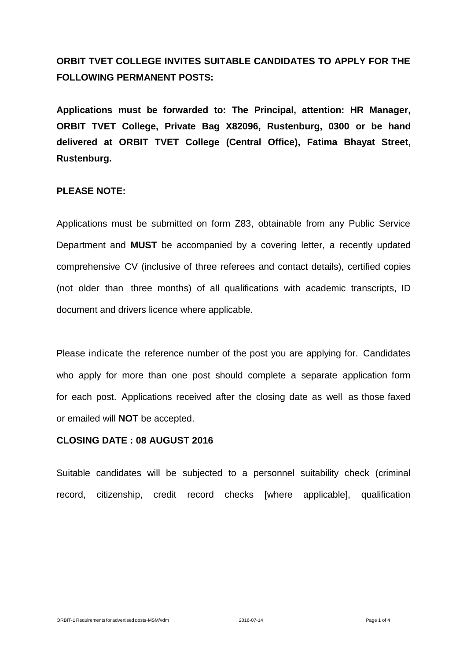# **ORBIT TVET COLLEGE INVITES SUITABLE CANDIDATES TO APPLY FOR THE FOLLOWING PERMANENT POSTS:**

**Applications must be forwarded to: The Principal, attention: HR Manager, ORBIT TVET College, Private Bag X82096, Rustenburg, 0300 or be hand delivered at ORBIT TVET College (Central Office), Fatima Bhayat Street, Rustenburg.**

## **PLEASE NOTE:**

Applications must be submitted on form Z83, obtainable from any Public Service Department and **MUST** be accompanied by a covering letter, a recently updated comprehensive CV (inclusive of three referees and contact details), certified copies (not older than three months) of all qualifications with academic transcripts, ID document and drivers licence where applicable.

Please indicate the reference number of the post you are applying for. Candidates who apply for more than one post should complete a separate application form for each post. Applications received after the closing date as well as those faxed or emailed will **NOT** be accepted.

#### **CLOSING DATE : 08 AUGUST 2016**

Suitable candidates will be subjected to a personnel suitability check (criminal record, citizenship, credit record checks [where applicable], qualification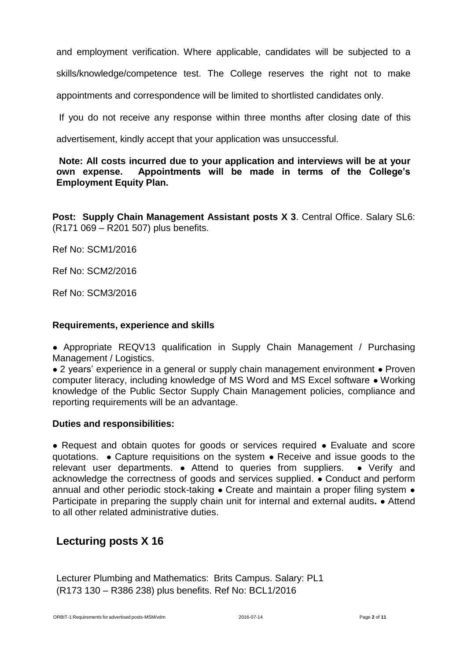and employment verification. Where applicable, candidates will be subjected to a

skills/knowledge/competence test. The College reserves the right not to make

appointments and correspondence will be limited to shortlisted candidates only.

If you do not receive any response within three months after closing date of this

advertisement, kindly accept that your application was unsuccessful.

## **Note: All costs incurred due to your application and interviews will be at your own expense. Appointments will be made in terms of the College's Employment Equity Plan.**

**Post: Supply Chain Management Assistant posts X 3**. Central Office. Salary SL6: (R171 069 – R201 507) plus benefits.

Ref No: SCM1/2016

Ref No: SCM2/2016

Ref No: SCM3/2016

#### **Requirements, experience and skills**

• Appropriate REQV13 qualification in Supply Chain Management / Purchasing Management / Logistics.

● 2 years' experience in a general or supply chain management environment ● Proven computer literacy, including knowledge of MS Word and MS Excel software ● Working knowledge of the Public Sector Supply Chain Management policies, compliance and reporting requirements will be an advantage.

#### **Duties and responsibilities:**

● Request and obtain quotes for goods or services required ● Evaluate and score quotations. ● Capture requisitions on the system ● Receive and issue goods to the relevant user departments. • Attend to queries from suppliers. • Verify and acknowledge the correctness of goods and services supplied. ● Conduct and perform annual and other periodic stock-taking • Create and maintain a proper filing system • Participate in preparing the supply chain unit for internal and external audits**.** ● Attend to all other related administrative duties.

# **Lecturing posts X 16**

Lecturer Plumbing and Mathematics: Brits Campus. Salary: PL1 (R173 130 – R386 238) plus benefits. Ref No: BCL1/2016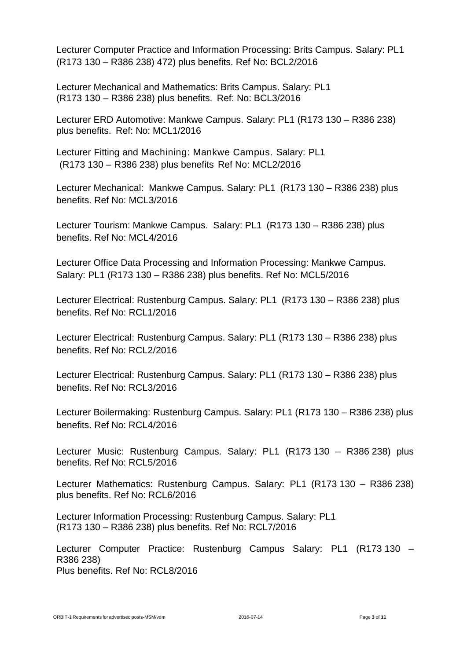Lecturer Computer Practice and Information Processing: Brits Campus. Salary: PL1 (R173 130 – R386 238) 472) plus benefits. Ref No: BCL2/2016

Lecturer Mechanical and Mathematics: Brits Campus. Salary: PL1 (R173 130 – R386 238) plus benefits. Ref: No: BCL3/2016

Lecturer ERD Automotive: Mankwe Campus. Salary: PL1 (R173 130 – R386 238) plus benefits. Ref: No: MCL1/2016

Lecturer Fitting and Machining: Mankwe Campus. Salary: PL1 (R173 130 – R386 238) plus benefits Ref No: MCL2/2016

Lecturer Mechanical: Mankwe Campus. Salary: PL1 (R173 130 – R386 238) plus benefits. Ref No: MCL3/2016

Lecturer Tourism: Mankwe Campus. Salary: PL1 (R173 130 – R386 238) plus benefits. Ref No: MCL4/2016

Lecturer Office Data Processing and Information Processing: Mankwe Campus. Salary: PL1 (R173 130 – R386 238) plus benefits. Ref No: MCL5/2016

Lecturer Electrical: Rustenburg Campus. Salary: PL1 (R173 130 – R386 238) plus benefits. Ref No: RCL1/2016

Lecturer Electrical: Rustenburg Campus. Salary: PL1 (R173 130 – R386 238) plus benefits. Ref No: RCL2/2016

Lecturer Electrical: Rustenburg Campus. Salary: PL1 (R173 130 – R386 238) plus benefits. Ref No: RCL3/2016

Lecturer Boilermaking: Rustenburg Campus. Salary: PL1 (R173 130 – R386 238) plus benefits. Ref No: RCL4/2016

Lecturer Music: Rustenburg Campus. Salary: PL1 (R173 130 – R386 238) plus benefits. Ref No: RCL5/2016

Lecturer Mathematics: Rustenburg Campus. Salary: PL1 (R173 130 – R386 238) plus benefits. Ref No: RCL6/2016

Lecturer Information Processing: Rustenburg Campus. Salary: PL1 (R173 130 – R386 238) plus benefits. Ref No: RCL7/2016

Lecturer Computer Practice: Rustenburg Campus Salary: PL1 (R173 130 – R386 238) Plus benefits. Ref No: RCL8/2016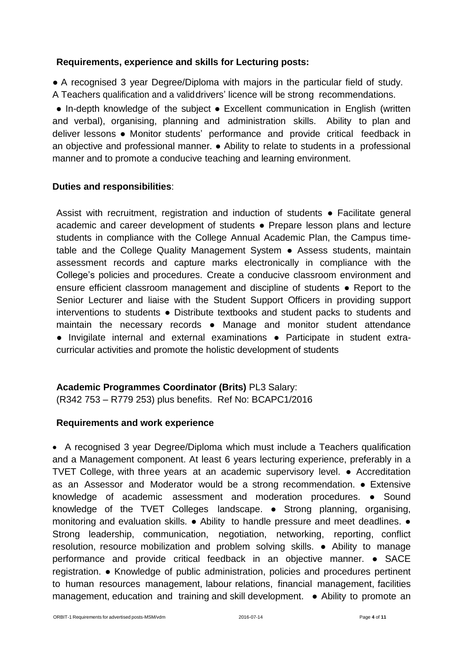## **Requirements, experience and skills for Lecturing posts:**

● A recognised 3 year Degree/Diploma with majors in the particular field of study. A Teachers qualification and a validdrivers' licence will be strong recommendations.

● In-depth knowledge of the subject ● Excellent communication in English (written and verbal), organising, planning and administration skills. Ability to plan and deliver lessons ● Monitor students' performance and provide critical feedback in an objective and professional manner. ● Ability to relate to students in a professional manner and to promote a conducive teaching and learning environment.

## **Duties and responsibilities**:

Assist with recruitment, registration and induction of students ● Facilitate general academic and career development of students ● Prepare lesson plans and lecture students in compliance with the College Annual Academic Plan, the Campus timetable and the College Quality Management System ● Assess students, maintain assessment records and capture marks electronically in compliance with the College's policies and procedures. Create a conducive classroom environment and ensure efficient classroom management and discipline of students ● Report to the Senior Lecturer and liaise with the Student Support Officers in providing support interventions to students ● Distribute textbooks and student packs to students and maintain the necessary records ● Manage and monitor student attendance ● Invigilate internal and external examinations ● Participate in student extracurricular activities and promote the holistic development of students

# **Academic Programmes Coordinator (Brits)** PL3 Salary:

(R342 753 – R779 253) plus benefits. Ref No: BCAPC1/2016

# **Requirements and work experience**

 A recognised 3 year Degree/Diploma which must include a Teachers qualification and a Management component. At least 6 years lecturing experience, preferably in a TVET College, with three years at an academic supervisory level. ● Accreditation as an Assessor and Moderator would be a strong recommendation. ● Extensive knowledge of academic assessment and moderation procedures. ● Sound knowledge of the TVET Colleges landscape. ● Strong planning, organising, monitoring and evaluation skills. ● Ability to handle pressure and meet deadlines. ● Strong leadership, communication, negotiation, networking, reporting, conflict resolution, resource mobilization and problem solving skills. ● Ability to manage performance and provide critical feedback in an objective manner. ● SACE registration. ● Knowledge of public administration, policies and procedures pertinent to human resources management, labour relations, financial management, facilities management, education and training and skill development. • Ability to promote an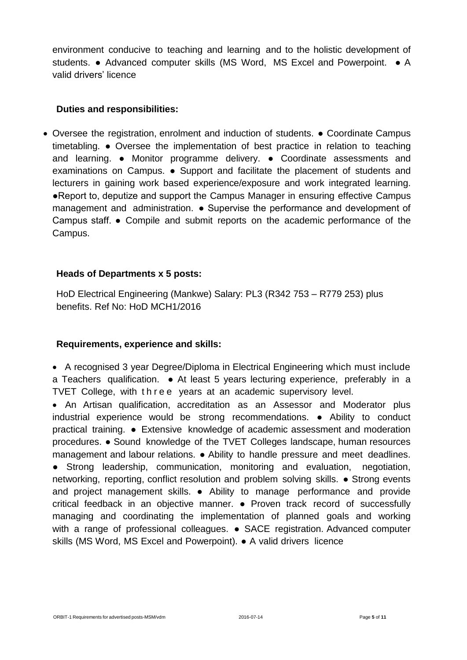environment conducive to teaching and learning and to the holistic development of students. ● Advanced computer skills (MS Word, MS Excel and Powerpoint. ● A valid drivers' licence

## **Duties and responsibilities:**

 Oversee the registration, enrolment and induction of students. ● Coordinate Campus timetabling. ● Oversee the implementation of best practice in relation to teaching and learning. ● Monitor programme delivery. ● Coordinate assessments and examinations on Campus. ● Support and facilitate the placement of students and lecturers in gaining work based experience/exposure and work integrated learning. ●Report to, deputize and support the Campus Manager in ensuring effective Campus management and administration. ● Supervise the performance and development of Campus staff. ● Compile and submit reports on the academic performance of the Campus.

## **Heads of Departments x 5 posts:**

HoD Electrical Engineering (Mankwe) Salary: PL3 (R342 753 – R779 253) plus benefits. Ref No: HoD MCH1/2016

## **Requirements, experience and skills:**

 A recognised 3 year Degree/Diploma in Electrical Engineering which must include a Teachers qualification. ● At least 5 years lecturing experience, preferably in a TVET College, with three years at an academic supervisory level.

 An Artisan qualification, accreditation as an Assessor and Moderator plus industrial experience would be strong recommendations. ● Ability to conduct practical training. ● Extensive knowledge of academic assessment and moderation procedures. ● Sound knowledge of the TVET Colleges landscape, human resources management and labour relations. ● Ability to handle pressure and meet deadlines. ● Strong leadership, communication, monitoring and evaluation, negotiation, networking, reporting, conflict resolution and problem solving skills. ● Strong events and project management skills. • Ability to manage performance and provide critical feedback in an objective manner. ● Proven track record of successfully managing and coordinating the implementation of planned goals and working with a range of professional colleagues. • SACE registration. Advanced computer skills (MS Word, MS Excel and Powerpoint). ● A valid drivers licence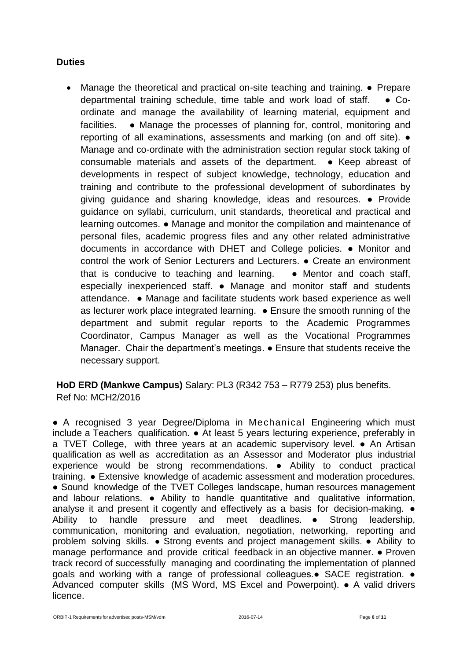## **Duties**

 Manage the theoretical and practical on-site teaching and training. ● Prepare departmental training schedule, time table and work load of staff. ● Coordinate and manage the availability of learning material, equipment and facilities. • Manage the processes of planning for, control, monitoring and reporting of all examinations, assessments and marking (on and off site). ● Manage and co-ordinate with the administration section regular stock taking of consumable materials and assets of the department. ● Keep abreast of developments in respect of subject knowledge, technology, education and training and contribute to the professional development of subordinates by giving guidance and sharing knowledge, ideas and resources. ● Provide guidance on syllabi, curriculum, unit standards, theoretical and practical and learning outcomes. ● Manage and monitor the compilation and maintenance of personal files, academic progress files and any other related administrative documents in accordance with DHET and College policies. ● Monitor and control the work of Senior Lecturers and Lecturers. ● Create an environment that is conducive to teaching and learning. • Mentor and coach staff, especially inexperienced staff. ● Manage and monitor staff and students attendance. ● Manage and facilitate students work based experience as well as lecturer work place integrated learning. ● Ensure the smooth running of the department and submit regular reports to the Academic Programmes Coordinator, Campus Manager as well as the Vocational Programmes Manager. Chair the department's meetings. ● Ensure that students receive the necessary support.

**HoD ERD (Mankwe Campus)** Salary: PL3 (R342 753 – R779 253) plus benefits. Ref No: MCH2/2016

● A recognised 3 year Degree/Diploma in Mechanical Engineering which must include a Teachers qualification. ● At least 5 years lecturing experience, preferably in a TVET College, with three years at an academic supervisory level. ● An Artisan qualification as well as accreditation as an Assessor and Moderator plus industrial experience would be strong recommendations. ● Ability to conduct practical training. ● Extensive knowledge of academic assessment and moderation procedures. • Sound knowledge of the TVET Colleges landscape, human resources management and labour relations. ● Ability to handle quantitative and qualitative information, analyse it and present it cogently and effectively as a basis for decision-making.  $\bullet$ Ability to handle pressure and meet deadlines. ● Strong leadership, communication, monitoring and evaluation, negotiation, networking, reporting and problem solving skills. ● Strong events and project management skills. ● Ability to manage performance and provide critical feedback in an objective manner. ● Proven track record of successfully managing and coordinating the implementation of planned goals and working with a range of professional colleagues.• SACE registration. • Advanced computer skills (MS Word, MS Excel and Powerpoint). ● A valid drivers licence.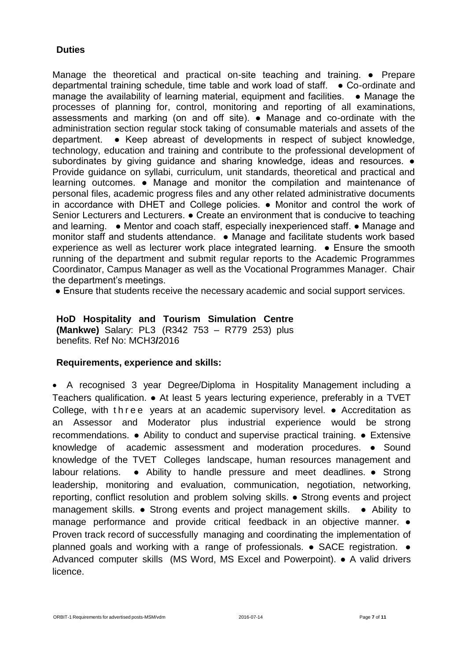## **Duties**

Manage the theoretical and practical on-site teaching and training. ● Prepare departmental training schedule, time table and work load of staff. ● Co-ordinate and manage the availability of learning material, equipment and facilities.  $\bullet$  Manage the processes of planning for, control, monitoring and reporting of all examinations, assessments and marking (on and off site). ● Manage and co-ordinate with the administration section regular stock taking of consumable materials and assets of the department. ● Keep abreast of developments in respect of subject knowledge, technology, education and training and contribute to the professional development of subordinates by giving guidance and sharing knowledge, ideas and resources.  $\bullet$ Provide guidance on syllabi, curriculum, unit standards, theoretical and practical and learning outcomes. ● Manage and monitor the compilation and maintenance of personal files, academic progress files and any other related administrative documents in accordance with DHET and College policies. ● Monitor and control the work of Senior Lecturers and Lecturers. ● Create an environment that is conducive to teaching and learning. • Mentor and coach staff, especially inexperienced staff. • Manage and monitor staff and students attendance. ● Manage and facilitate students work based experience as well as lecturer work place integrated learning. ● Ensure the smooth running of the department and submit regular reports to the Academic Programmes Coordinator, Campus Manager as well as the Vocational Programmes Manager. Chair the department's meetings.

● Ensure that students receive the necessary academic and social support services.

**HoD Hospitality and Tourism Simulation Centre (Mankwe)** Salary: PL3 (R342 753 – R779 253) plus benefits. Ref No: MCH3**/**2016

## **Requirements, experience and skills:**

 A recognised 3 year Degree/Diploma in Hospitality Management including a Teachers qualification. ● At least 5 years lecturing experience, preferably in a TVET College, with three years at an academic supervisory level. • Accreditation as an Assessor and Moderator plus industrial experience would be strong recommendations. ● Ability to conduct and supervise practical training. ● Extensive knowledge of academic assessment and moderation procedures. ● Sound knowledge of the TVET Colleges landscape, human resources management and labour relations. ● Ability to handle pressure and meet deadlines. ● Strong leadership, monitoring and evaluation, communication, negotiation, networking, reporting, conflict resolution and problem solving skills. ● Strong events and project management skills. ● Strong events and project management skills. ● Ability to manage performance and provide critical feedback in an objective manner. ● Proven track record of successfully managing and coordinating the implementation of planned goals and working with a range of professionals. ● SACE registration. ● Advanced computer skills (MS Word, MS Excel and Powerpoint). ● A valid drivers licence.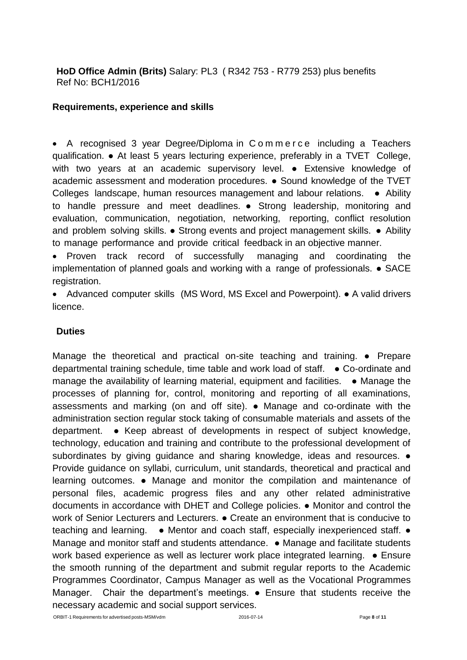**HoD Office Admin (Brits)** Salary: PL3 ( R342 753 - R779 253) plus benefits Ref No: BCH1/2016

#### **Requirements, experience and skills**

• A recognised 3 year Degree/Diploma in C o m m e r c e including a Teachers qualification. ● At least 5 years lecturing experience, preferably in a TVET College, with two years at an academic supervisory level. • Extensive knowledge of academic assessment and moderation procedures. ● Sound knowledge of the TVET Colleges landscape, human resources management and labour relations. • Ability to handle pressure and meet deadlines. ● Strong leadership, monitoring and evaluation, communication, negotiation, networking, reporting, conflict resolution and problem solving skills. ● Strong events and project management skills. ● Ability to manage performance and provide critical feedback in an objective manner.

 Proven track record of successfully managing and coordinating the implementation of planned goals and working with a range of professionals. ● SACE registration.

 Advanced computer skills (MS Word, MS Excel and Powerpoint). ● A valid drivers licence.

## **Duties**

Manage the theoretical and practical on-site teaching and training. ● Prepare departmental training schedule, time table and work load of staff. ● Co-ordinate and manage the availability of learning material, equipment and facilities. • Manage the processes of planning for, control, monitoring and reporting of all examinations, assessments and marking (on and off site). ● Manage and co-ordinate with the administration section regular stock taking of consumable materials and assets of the department. ● Keep abreast of developments in respect of subject knowledge, technology, education and training and contribute to the professional development of subordinates by giving guidance and sharing knowledge, ideas and resources.  $\bullet$ Provide guidance on syllabi, curriculum, unit standards, theoretical and practical and learning outcomes. ● Manage and monitor the compilation and maintenance of personal files, academic progress files and any other related administrative documents in accordance with DHET and College policies. ● Monitor and control the work of Senior Lecturers and Lecturers. ● Create an environment that is conducive to teaching and learning. • Mentor and coach staff, especially inexperienced staff. • Manage and monitor staff and students attendance. ● Manage and facilitate students work based experience as well as lecturer work place integrated learning. ● Ensure the smooth running of the department and submit regular reports to the Academic Programmes Coordinator, Campus Manager as well as the Vocational Programmes Manager. Chair the department's meetings. • Ensure that students receive the necessary academic and social support services.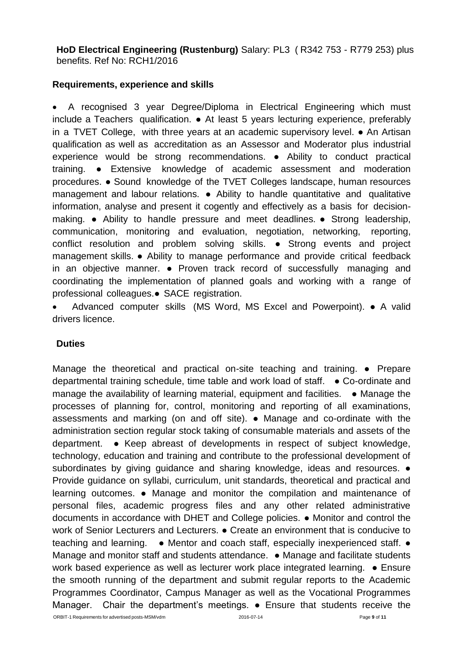**HoD Electrical Engineering (Rustenburg)** Salary: PL3 ( R342 753 - R779 253) plus benefits. Ref No: RCH1/2016

## **Requirements, experience and skills**

 A recognised 3 year Degree/Diploma in Electrical Engineering which must include a Teachers qualification. ● At least 5 years lecturing experience, preferably in a TVET College, with three years at an academic supervisory level. • An Artisan qualification as well as accreditation as an Assessor and Moderator plus industrial experience would be strong recommendations. ● Ability to conduct practical training. ● Extensive knowledge of academic assessment and moderation procedures. ● Sound knowledge of the TVET Colleges landscape, human resources management and labour relations. ● Ability to handle quantitative and qualitative information, analyse and present it cogently and effectively as a basis for decisionmaking. ● Ability to handle pressure and meet deadlines. ● Strong leadership, communication, monitoring and evaluation, negotiation, networking, reporting, conflict resolution and problem solving skills. ● Strong events and project management skills. ● Ability to manage performance and provide critical feedback in an objective manner. ● Proven track record of successfully managing and coordinating the implementation of planned goals and working with a range of professional colleagues.● SACE registration.

 Advanced computer skills (MS Word, MS Excel and Powerpoint). ● A valid drivers licence.

## **Duties**

ORBIT-1 Requirements for advertised posts-MSM/vdm 2016-07-14 Page **9** of **11** Manage the theoretical and practical on-site teaching and training. ● Prepare departmental training schedule, time table and work load of staff. ● Co-ordinate and manage the availability of learning material, equipment and facilities.  $\bullet$  Manage the processes of planning for, control, monitoring and reporting of all examinations, assessments and marking (on and off site). ● Manage and co-ordinate with the administration section regular stock taking of consumable materials and assets of the department. ● Keep abreast of developments in respect of subject knowledge, technology, education and training and contribute to the professional development of subordinates by giving guidance and sharing knowledge, ideas and resources.  $\bullet$ Provide guidance on syllabi, curriculum, unit standards, theoretical and practical and learning outcomes. ● Manage and monitor the compilation and maintenance of personal files, academic progress files and any other related administrative documents in accordance with DHET and College policies. ● Monitor and control the work of Senior Lecturers and Lecturers. ● Create an environment that is conducive to teaching and learning. • Mentor and coach staff, especially inexperienced staff. • Manage and monitor staff and students attendance. ● Manage and facilitate students work based experience as well as lecturer work place integrated learning. • Ensure the smooth running of the department and submit regular reports to the Academic Programmes Coordinator, Campus Manager as well as the Vocational Programmes Manager. Chair the department's meetings. • Ensure that students receive the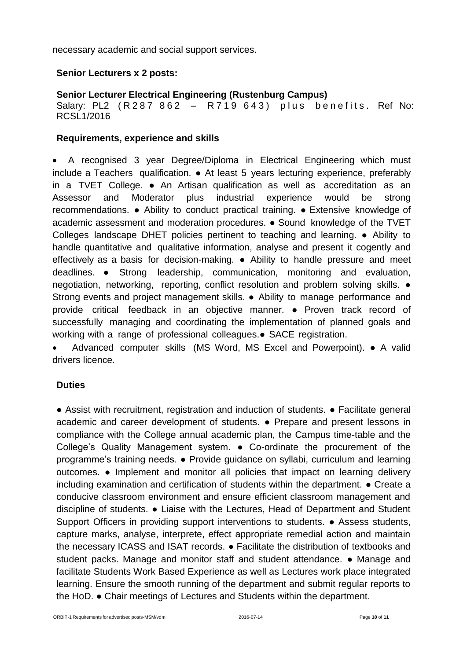necessary academic and social support services.

## **Senior Lecturers x 2 posts:**

# **Senior Lecturer Electrical Engineering (Rustenburg Campus)**

Salary: PL2 (R287 862 - R719 643) plus benefits. Ref No: RCSL1/2016

## **Requirements, experience and skills**

 A recognised 3 year Degree/Diploma in Electrical Engineering which must include a Teachers qualification. ● At least 5 years lecturing experience, preferably in a TVET College. ● An Artisan qualification as well as accreditation as an Assessor and Moderator plus industrial experience would be strong recommendations. ● Ability to conduct practical training. ● Extensive knowledge of academic assessment and moderation procedures. ● Sound knowledge of the TVET Colleges landscape DHET policies pertinent to teaching and learning. ● Ability to handle quantitative and qualitative information, analyse and present it cogently and effectively as a basis for decision-making. ● Ability to handle pressure and meet deadlines. ● Strong leadership, communication, monitoring and evaluation, negotiation, networking, reporting, conflict resolution and problem solving skills. ● Strong events and project management skills. ● Ability to manage performance and provide critical feedback in an objective manner. ● Proven track record of successfully managing and coordinating the implementation of planned goals and working with a range of professional colleagues.● SACE registration.

 Advanced computer skills (MS Word, MS Excel and Powerpoint). ● A valid drivers licence.

# **Duties**

● Assist with recruitment, registration and induction of students. ● Facilitate general academic and career development of students. ● Prepare and present lessons in compliance with the College annual academic plan, the Campus time-table and the College's Quality Management system. ● Co-ordinate the procurement of the programme's training needs. ● Provide guidance on syllabi, curriculum and learning outcomes. ● Implement and monitor all policies that impact on learning delivery including examination and certification of students within the department. ● Create a conducive classroom environment and ensure efficient classroom management and discipline of students. ● Liaise with the Lectures, Head of Department and Student Support Officers in providing support interventions to students. • Assess students, capture marks, analyse, interprete, effect appropriate remedial action and maintain the necessary ICASS and ISAT records. ● Facilitate the distribution of textbooks and student packs. Manage and monitor staff and student attendance. ● Manage and facilitate Students Work Based Experience as well as Lectures work place integrated learning. Ensure the smooth running of the department and submit regular reports to the HoD. ● Chair meetings of Lectures and Students within the department.